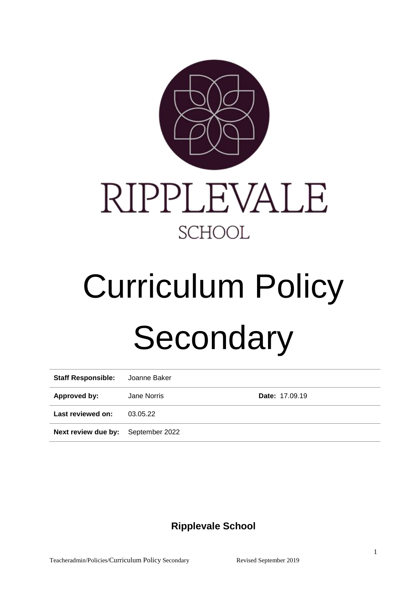



# Curriculum Policy **Secondary**

| <b>Staff Responsible:</b>                 | Joanne Baker |                       |
|-------------------------------------------|--------------|-----------------------|
| Approved by:                              | Jane Norris  | <b>Date: 17.09.19</b> |
| Last reviewed on:                         | 03.05.22     |                       |
| <b>Next review due by:</b> September 2022 |              |                       |

# **Ripplevale School**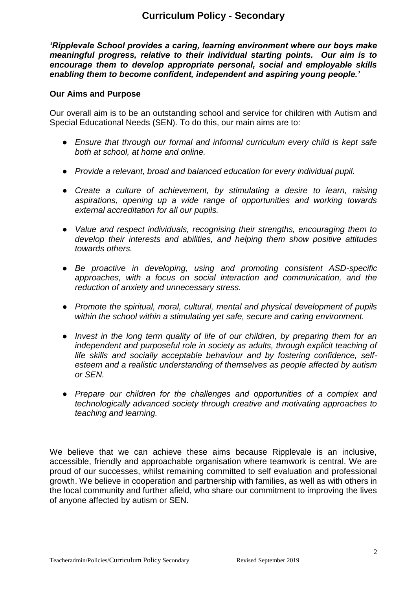# **Curriculum Policy - Secondary**

*'Ripplevale School provides a caring, learning environment where our boys make meaningful progress, relative to their individual starting points. Our aim is to encourage them to develop appropriate personal, social and employable skills enabling them to become confident, independent and aspiring young people.'*

#### **Our Aims and Purpose**

Our overall aim is to be an outstanding school and service for children with Autism and Special Educational Needs (SEN). To do this, our main aims are to:

- *Ensure that through our formal and informal curriculum every child is kept safe both at school, at home and online.*
- *Provide a relevant, broad and balanced education for every individual pupil.*
- *Create a culture of achievement, by stimulating a desire to learn, raising aspirations, opening up a wide range of opportunities and working towards external accreditation for all our pupils.*
- *Value and respect individuals, recognising their strengths, encouraging them to develop their interests and abilities, and helping them show positive attitudes towards others.*
- *Be proactive in developing, using and promoting consistent ASD-specific approaches, with a focus on social interaction and communication, and the reduction of anxiety and unnecessary stress.*
- *Promote the spiritual, moral, cultural, mental and physical development of pupils within the school within a stimulating yet safe, secure and caring environment.*
- *Invest in the long term quality of life of our children, by preparing them for an independent and purposeful role in society as adults, through explicit teaching of life skills and socially acceptable behaviour and by fostering confidence, selfesteem and a realistic understanding of themselves as people affected by autism or SEN.*
- *Prepare our children for the challenges and opportunities of a complex and technologically advanced society through creative and motivating approaches to teaching and learning.*

We believe that we can achieve these aims because Ripplevale is an inclusive, accessible, friendly and approachable organisation where teamwork is central. We are proud of our successes, whilst remaining committed to self evaluation and professional growth. We believe in cooperation and partnership with families, as well as with others in the local community and further afield, who share our commitment to improving the lives of anyone affected by autism or SEN.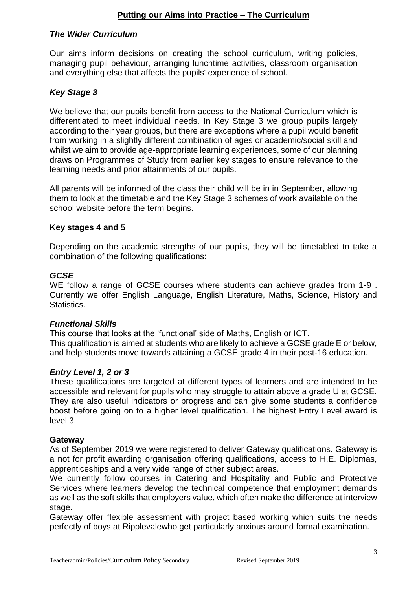# **Putting our Aims into Practice – The Curriculum**

### *The Wider Curriculum*

Our aims inform decisions on creating the school curriculum, writing policies, managing pupil behaviour, arranging lunchtime activities, classroom organisation and everything else that affects the pupils' experience of school.

# *Key Stage 3*

We believe that our pupils benefit from access to the National Curriculum which is differentiated to meet individual needs. In Key Stage 3 we group pupils largely according to their year groups, but there are exceptions where a pupil would benefit from working in a slightly different combination of ages or academic/social skill and whilst we aim to provide age-appropriate learning experiences, some of our planning draws on Programmes of Study from earlier key stages to ensure relevance to the learning needs and prior attainments of our pupils.

All parents will be informed of the class their child will be in in September, allowing them to look at the timetable and the Key Stage 3 schemes of work available on the school website before the term begins.

#### **Key stages 4 and 5**

Depending on the academic strengths of our pupils, they will be timetabled to take a combination of the following qualifications:

#### *GCSE*

WE follow a range of GCSE courses where students can achieve grades from 1-9 . Currently we offer English Language, English Literature, Maths, Science, History and Statistics.

#### *Functional Skills*

This course that looks at the 'functional' side of Maths, English or ICT. This qualification is aimed at students who are likely to achieve a GCSE grade E or below, and help students move towards attaining a GCSE grade 4 in their post-16 education.

#### *Entry Level 1, 2 or 3*

These qualifications are targeted at different types of learners and are intended to be accessible and relevant for pupils who may struggle to attain above a grade U at GCSE. They are also useful indicators or progress and can give some students a confidence boost before going on to a higher level qualification. The highest Entry Level award is level 3.

#### **Gateway**

As of September 2019 we were registered to deliver Gateway qualifications. Gateway is a not for profit awarding organisation offering qualifications, access to H.E. Diplomas, apprenticeships and a very wide range of other subject areas.

We currently follow courses in Catering and Hospitality and Public and Protective Services where learners develop the technical competence that employment demands as well as the soft skills that employers value, which often make the difference at interview stage.

Gateway offer flexible assessment with project based working which suits the needs perfectly of boys at Ripplevalewho get particularly anxious around formal examination.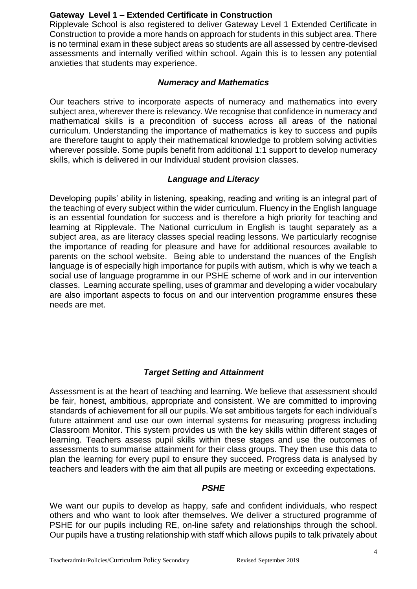# **Gateway Level 1 – Extended Certificate in Construction**

Ripplevale School is also registered to deliver Gateway Level 1 Extended Certificate in Construction to provide a more hands on approach for students in this subject area. There is no terminal exam in these subject areas so students are all assessed by centre-devised assessments and internally verified within school. Again this is to lessen any potential anxieties that students may experience.

# *Numeracy and Mathematics*

Our teachers strive to incorporate aspects of numeracy and mathematics into every subject area, wherever there is relevancy. We recognise that confidence in numeracy and mathematical skills is a precondition of success across all areas of the national curriculum. Understanding the importance of mathematics is key to success and pupils are therefore taught to apply their mathematical knowledge to problem solving activities wherever possible. Some pupils benefit from additional 1:1 support to develop numeracy skills, which is delivered in our Individual student provision classes.

# *Language and Literacy*

Developing pupils' ability in listening, speaking, reading and writing is an integral part of the teaching of every subject within the wider curriculum. Fluency in the English language is an essential foundation for success and is therefore a high priority for teaching and learning at Ripplevale. The National curriculum in English is taught separately as a subject area, as are literacy classes special reading lessons. We particularly recognise the importance of reading for pleasure and have for additional resources available to parents on the school website. Being able to understand the nuances of the English language is of especially high importance for pupils with autism, which is why we teach a social use of language programme in our PSHE scheme of work and in our intervention classes. Learning accurate spelling, uses of grammar and developing a wider vocabulary are also important aspects to focus on and our intervention programme ensures these needs are met.

# *Target Setting and Attainment*

Assessment is at the heart of teaching and learning. We believe that assessment should be fair, honest, ambitious, appropriate and consistent. We are committed to improving standards of achievement for all our pupils. We set ambitious targets for each individual's future attainment and use our own internal systems for measuring progress including Classroom Monitor. This system provides us with the key skills within different stages of learning. Teachers assess pupil skills within these stages and use the outcomes of assessments to summarise attainment for their class groups. They then use this data to plan the learning for every pupil to ensure they succeed. Progress data is analysed by teachers and leaders with the aim that all pupils are meeting or exceeding expectations.

### *PSHE*

We want our pupils to develop as happy, safe and confident individuals, who respect others and who want to look after themselves. We deliver a structured programme of PSHE for our pupils including RE, on-line safety and relationships through the school. Our pupils have a trusting relationship with staff which allows pupils to talk privately about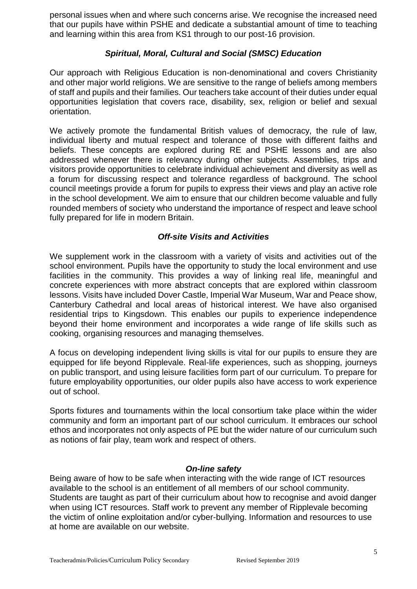personal issues when and where such concerns arise. We recognise the increased need that our pupils have within PSHE and dedicate a substantial amount of time to teaching and learning within this area from KS1 through to our post-16 provision.

# *Spiritual, Moral, Cultural and Social (SMSC) Education*

Our approach with Religious Education is non-denominational and covers Christianity and other major world religions. We are sensitive to the range of beliefs among members of staff and pupils and their families. Our teachers take account of their duties under equal opportunities legislation that covers race, disability, sex, religion or belief and sexual orientation.

We actively promote the fundamental British values of democracy, the rule of law, individual liberty and mutual respect and tolerance of those with different faiths and beliefs. These concepts are explored during RE and PSHE lessons and are also addressed whenever there is relevancy during other subjects. Assemblies, trips and visitors provide opportunities to celebrate individual achievement and diversity as well as a forum for discussing respect and tolerance regardless of background. The school council meetings provide a forum for pupils to express their views and play an active role in the school development. We aim to ensure that our children become valuable and fully rounded members of society who understand the importance of respect and leave school fully prepared for life in modern Britain.

# *Off-site Visits and Activities*

We supplement work in the classroom with a variety of visits and activities out of the school environment. Pupils have the opportunity to study the local environment and use facilities in the community. This provides a way of linking real life, meaningful and concrete experiences with more abstract concepts that are explored within classroom lessons. Visits have included Dover Castle, Imperial War Museum, War and Peace show, Canterbury Cathedral and local areas of historical interest. We have also organised residential trips to Kingsdown. This enables our pupils to experience independence beyond their home environment and incorporates a wide range of life skills such as cooking, organising resources and managing themselves.

A focus on developing independent living skills is vital for our pupils to ensure they are equipped for life beyond Ripplevale. Real-life experiences, such as shopping, journeys on public transport, and using leisure facilities form part of our curriculum. To prepare for future employability opportunities, our older pupils also have access to work experience out of school.

Sports fixtures and tournaments within the local consortium take place within the wider community and form an important part of our school curriculum. It embraces our school ethos and incorporates not only aspects of PE but the wider nature of our curriculum such as notions of fair play, team work and respect of others.

### *On-line safety*

Being aware of how to be safe when interacting with the wide range of ICT resources available to the school is an entitlement of all members of our school community. Students are taught as part of their curriculum about how to recognise and avoid danger when using ICT resources. Staff work to prevent any member of Ripplevale becoming the victim of online exploitation and/or cyber-bullying. Information and resources to use at home are available on our website.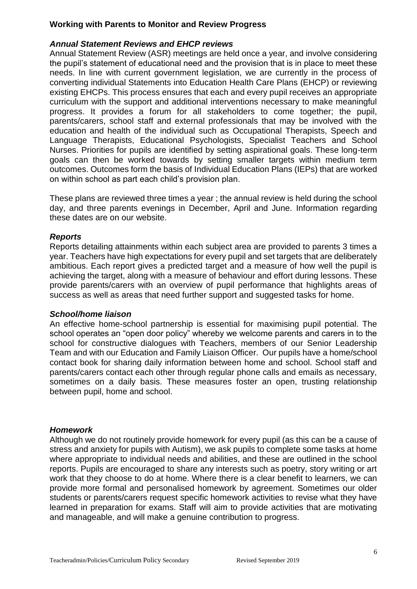# **Working with Parents to Monitor and Review Progress**

# *Annual Statement Reviews and EHCP reviews*

Annual Statement Review (ASR) meetings are held once a year, and involve considering the pupil's statement of educational need and the provision that is in place to meet these needs. In line with current government legislation, we are currently in the process of converting individual Statements into Education Health Care Plans (EHCP) or reviewing existing EHCPs. This process ensures that each and every pupil receives an appropriate curriculum with the support and additional interventions necessary to make meaningful progress. It provides a forum for all stakeholders to come together; the pupil, parents/carers, school staff and external professionals that may be involved with the education and health of the individual such as Occupational Therapists, Speech and Language Therapists, Educational Psychologists, Specialist Teachers and School Nurses. Priorities for pupils are identified by setting aspirational goals. These long-term goals can then be worked towards by setting smaller targets within medium term outcomes. Outcomes form the basis of Individual Education Plans (IEPs) that are worked on within school as part each child's provision plan.

These plans are reviewed three times a year ; the annual review is held during the school day, and three parents evenings in December, April and June. Information regarding these dates are on our website.

### *Reports*

Reports detailing attainments within each subject area are provided to parents 3 times a year. Teachers have high expectations for every pupil and set targets that are deliberately ambitious. Each report gives a predicted target and a measure of how well the pupil is achieving the target, along with a measure of behaviour and effort during lessons. These provide parents/carers with an overview of pupil performance that highlights areas of success as well as areas that need further support and suggested tasks for home.

### *School/home liaison*

An effective home-school partnership is essential for maximising pupil potential. The school operates an "open door policy" whereby we welcome parents and carers in to the school for constructive dialogues with Teachers, members of our Senior Leadership Team and with our Education and Family Liaison Officer. Our pupils have a home/school contact book for sharing daily information between home and school. School staff and parents/carers contact each other through regular phone calls and emails as necessary, sometimes on a daily basis. These measures foster an open, trusting relationship between pupil, home and school.

### *Homework*

Although we do not routinely provide homework for every pupil (as this can be a cause of stress and anxiety for pupils with Autism), we ask pupils to complete some tasks at home where appropriate to individual needs and abilities, and these are outlined in the school reports. Pupils are encouraged to share any interests such as poetry, story writing or art work that they choose to do at home. Where there is a clear benefit to learners, we can provide more formal and personalised homework by agreement. Sometimes our older students or parents/carers request specific homework activities to revise what they have learned in preparation for exams. Staff will aim to provide activities that are motivating and manageable, and will make a genuine contribution to progress.